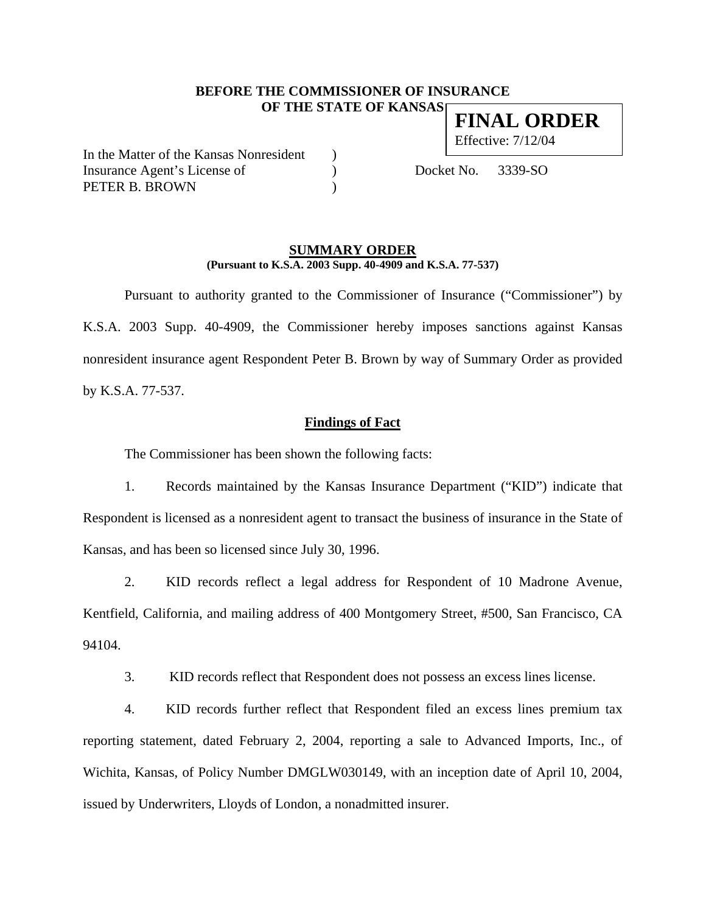#### **BEFORE THE COMMISSIONER OF INSURANCE OF THE STATE OF KANSAS FINAL ORDER**

In the Matter of the Kansas Nonresident ) Insurance Agent's License of (a) Docket No. 3339-SO PETER B. BROWN (1997)

Effective: 7/12/04

#### **SUMMARY ORDER (Pursuant to K.S.A. 2003 Supp. 40-4909 and K.S.A. 77-537)**

 Pursuant to authority granted to the Commissioner of Insurance ("Commissioner") by K.S.A. 2003 Supp. 40-4909, the Commissioner hereby imposes sanctions against Kansas nonresident insurance agent Respondent Peter B. Brown by way of Summary Order as provided by K.S.A. 77-537.

### **Findings of Fact**

The Commissioner has been shown the following facts:

1. Records maintained by the Kansas Insurance Department ("KID") indicate that Respondent is licensed as a nonresident agent to transact the business of insurance in the State of Kansas, and has been so licensed since July 30, 1996.

2. KID records reflect a legal address for Respondent of 10 Madrone Avenue, Kentfield, California, and mailing address of 400 Montgomery Street, #500, San Francisco, CA 94104.

3. KID records reflect that Respondent does not possess an excess lines license.

4. KID records further reflect that Respondent filed an excess lines premium tax reporting statement, dated February 2, 2004, reporting a sale to Advanced Imports, Inc., of Wichita, Kansas, of Policy Number DMGLW030149, with an inception date of April 10, 2004, issued by Underwriters, Lloyds of London, a nonadmitted insurer.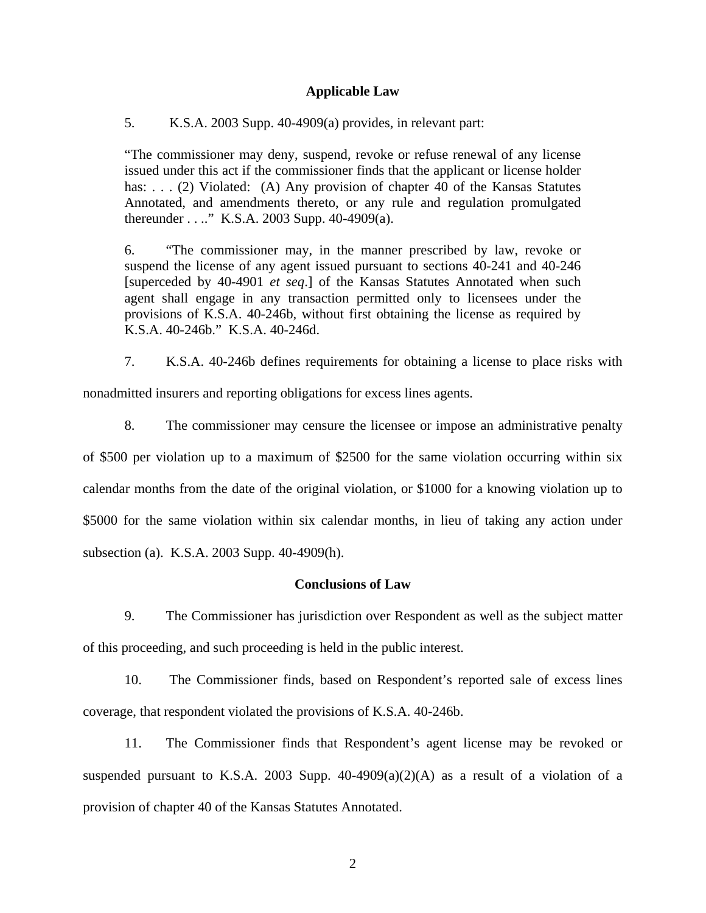### **Applicable Law**

5. K.S.A. 2003 Supp. 40-4909(a) provides, in relevant part:

"The commissioner may deny, suspend, revoke or refuse renewal of any license issued under this act if the commissioner finds that the applicant or license holder has: . . . (2) Violated: (A) Any provision of chapter 40 of the Kansas Statutes Annotated, and amendments thereto, or any rule and regulation promulgated thereunder . . .." K.S.A. 2003 Supp. 40-4909(a).

6. "The commissioner may, in the manner prescribed by law, revoke or suspend the license of any agent issued pursuant to sections 40-241 and 40-246 [superceded by 40-4901 *et seq*.] of the Kansas Statutes Annotated when such agent shall engage in any transaction permitted only to licensees under the provisions of K.S.A. 40-246b, without first obtaining the license as required by K.S.A. 40-246b." K.S.A. 40-246d.

7. K.S.A. 40-246b defines requirements for obtaining a license to place risks with nonadmitted insurers and reporting obligations for excess lines agents.

8. The commissioner may censure the licensee or impose an administrative penalty of \$500 per violation up to a maximum of \$2500 for the same violation occurring within six calendar months from the date of the original violation, or \$1000 for a knowing violation up to \$5000 for the same violation within six calendar months, in lieu of taking any action under subsection (a). K.S.A. 2003 Supp. 40-4909(h).

# **Conclusions of Law**

9. The Commissioner has jurisdiction over Respondent as well as the subject matter of this proceeding, and such proceeding is held in the public interest.

10. The Commissioner finds, based on Respondent's reported sale of excess lines coverage, that respondent violated the provisions of K.S.A. 40-246b.

11. The Commissioner finds that Respondent's agent license may be revoked or suspended pursuant to K.S.A. 2003 Supp.  $40-4909(a)(2)(A)$  as a result of a violation of a provision of chapter 40 of the Kansas Statutes Annotated.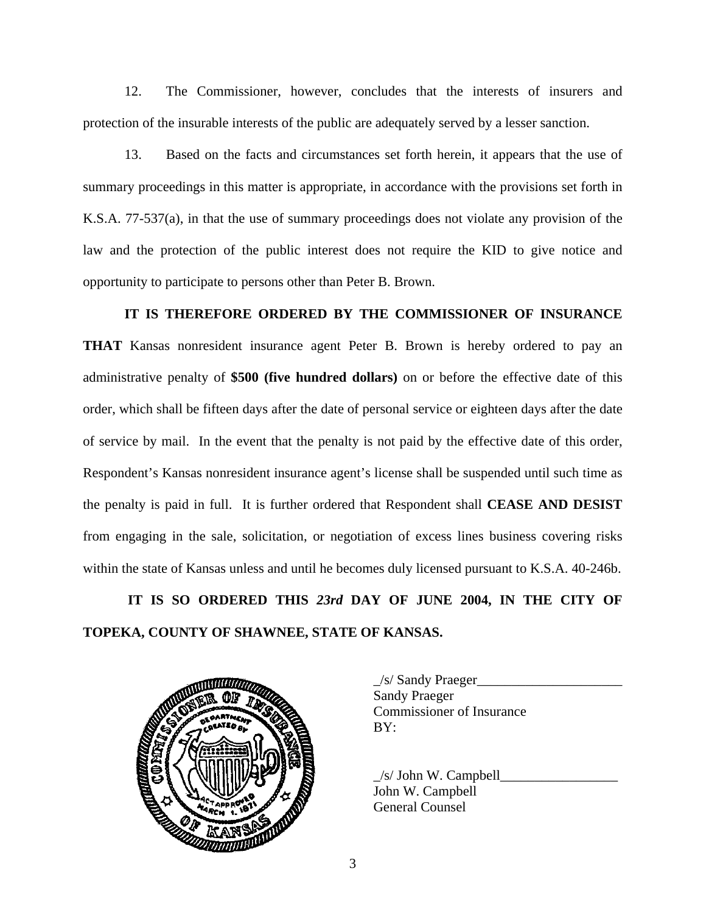12. The Commissioner, however, concludes that the interests of insurers and protection of the insurable interests of the public are adequately served by a lesser sanction.

13. Based on the facts and circumstances set forth herein, it appears that the use of summary proceedings in this matter is appropriate, in accordance with the provisions set forth in K.S.A. 77-537(a), in that the use of summary proceedings does not violate any provision of the law and the protection of the public interest does not require the KID to give notice and opportunity to participate to persons other than Peter B. Brown.

### **IT IS THEREFORE ORDERED BY THE COMMISSIONER OF INSURANCE**

**THAT** Kansas nonresident insurance agent Peter B. Brown is hereby ordered to pay an administrative penalty of **\$500 (five hundred dollars)** on or before the effective date of this order, which shall be fifteen days after the date of personal service or eighteen days after the date of service by mail. In the event that the penalty is not paid by the effective date of this order, Respondent's Kansas nonresident insurance agent's license shall be suspended until such time as the penalty is paid in full. It is further ordered that Respondent shall **CEASE AND DESIST** from engaging in the sale, solicitation, or negotiation of excess lines business covering risks within the state of Kansas unless and until he becomes duly licensed pursuant to K.S.A. 40-246b.

 **IT IS SO ORDERED THIS** *23rd* **DAY OF JUNE 2004, IN THE CITY OF TOPEKA, COUNTY OF SHAWNEE, STATE OF KANSAS.** 



 \_/s/ Sandy Praeger\_\_\_\_\_\_\_\_\_\_\_\_\_\_\_\_\_\_\_\_\_ Sandy Praeger Commissioner of Insurance

 $/s/$  John W. Campbell John W. Campbell General Counsel

3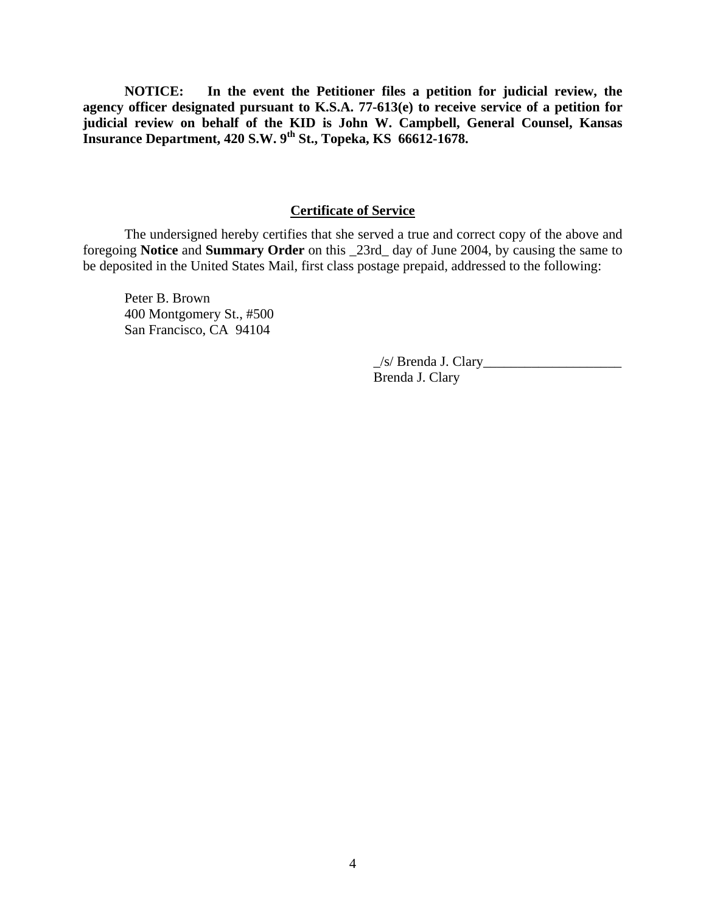**NOTICE: In the event the Petitioner files a petition for judicial review, the agency officer designated pursuant to K.S.A. 77-613(e) to receive service of a petition for judicial review on behalf of the KID is John W. Campbell, General Counsel, Kansas Insurance Department, 420 S.W. 9th St., Topeka, KS 66612-1678.** 

### **Certificate of Service**

 The undersigned hereby certifies that she served a true and correct copy of the above and foregoing **Notice** and **Summary Order** on this \_23rd\_ day of June 2004, by causing the same to be deposited in the United States Mail, first class postage prepaid, addressed to the following:

Peter B. Brown 400 Montgomery St., #500 San Francisco, CA 94104

> \_/s/ Brenda J. Clary\_\_\_\_\_\_\_\_\_\_\_\_\_\_\_\_\_\_\_\_ Brenda J. Clary